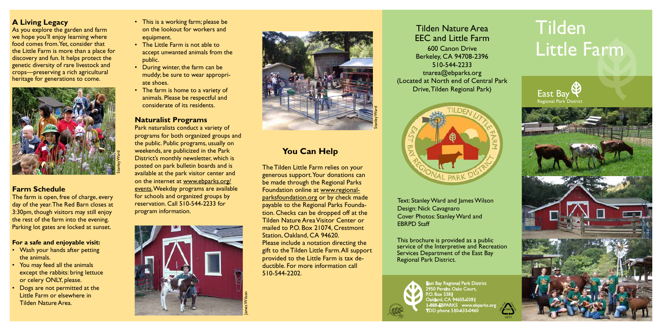# Tilden Little Farm

East Bay Regional Park District 2950 Peralta Oaks Court, P.O. Box 5381 Oakland, CA 94605-0381 -888-EBPARKS www.ebparks.or TDD phone 510-633-0460



Text: Stanley Ward and James Wilson Design: Nick Cavagnaro Cover Photos: Stanley Ward and EBRPD Staff





# Tilden Nature Area EEC and Little Farm

600 Canon Drive Berkeley, CA 94708-2396 510-544-2233 tnarea@ebparks.org (Located at North end of Central Park Drive, Tilden Regional Park)



This brochure is provided as a public service of the Interpretive and Recreation Services Department of the East Bay Regional Park District.





# **You Can Help**

- This is a working farm; please be on the lookout for workers and equipment.
- The Little Farm is not able to accept unwanted animals from the public.
- During winter, the farm can be muddy; be sure to wear appropri ate shoes.
- The farm is home to a variety of animals. Please be respectful and considerate of its residents.

The Tilden Little Farm relies on your generous support. Your donations can be made through the Regional Parks Foundation online at www.regionalparksfoundation.org or by check made payable to the Regional Parks Foundation. Checks can be dropped off at the Tilden Nature Area Visitor Center or mailed to P.O. Box 21074, Crestmont Station, Oakland, CA 94620. Please include a notation directing the gift to the Tilden Little Farm. All support provided to the Little Farm is tax deductible. For more information call 510-544-2202.

- Wash your hands after petting the animals.
- You may feed all the animals except the rabbits: bring lettuce or celery ONLY, please.
- Dogs are not permitted at the Little Farm or elsewhere in Tilden Nature Area.

# **Naturalist Programs**

Park naturalists conduct a variety of programs for both organized groups and the public. Public programs, usually on weekends, are publicized in the Park District's monthly newsletter, which is posted on park bulletin boards and is available at the park visitor center and on the internet at www.ebparks.org/ events. Weekday programs are available for schools and organized groups by reservation. Call 510-544-2233 for program information.

# **A Living Legacy**

As you explore the garden and farm we hope you'll enjoy learning where food comes from. Yet, consider that the Little Farm is more than a place for discovery and fun. It helps protect the genetic diversity of rare livestock and crops—preserving a rich agricultural heritage for generations to come.

# **Farm Schedule**

The farm is open, free of charge, every day of the year. The Red Barn closes at 3:30pm, though visitors may still enjoy the rest of the farm into the evening. Parking lot gates are locked at sunset.

# **For a safe and enjoyable visit:**